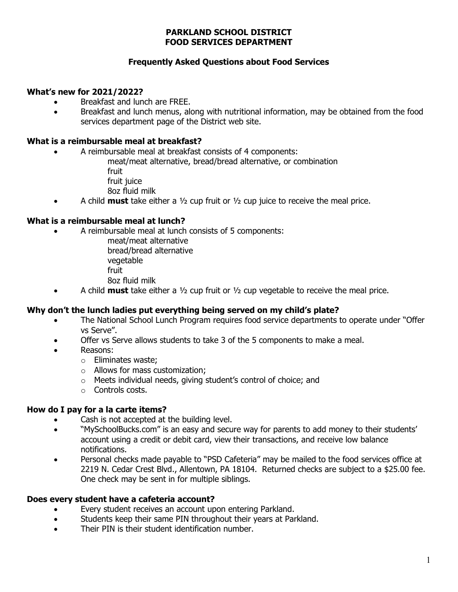### PARKLAND SCHOOL DISTRICT FOOD SERVICES DEPARTMENT

# Frequently Asked Questions about Food Services

### What's new for 2021/2022?

- Breakfast and lunch are FREE.
- Breakfast and lunch menus, along with nutritional information, may be obtained from the food services department page of the District web site.

## What is a reimbursable meal at breakfast?

- A reimbursable meal at breakfast consists of 4 components:
	- meat/meat alternative, bread/bread alternative, or combination
	- fruit
	- fruit juice
	- 8oz fluid milk
- A child **must** take either a  $\frac{1}{2}$  cup fruit or  $\frac{1}{2}$  cup juice to receive the meal price.

## What is a reimbursable meal at lunch?

- A reimbursable meal at lunch consists of 5 components:
	- meat/meat alternative bread/bread alternative vegetable fruit 8oz fluid milk
	- A child **must** take either a  $\frac{1}{2}$  cup fruit or  $\frac{1}{2}$  cup vegetable to receive the meal price.

# Why don't the lunch ladies put everything being served on my child's plate?

- The National School Lunch Program requires food service departments to operate under "Offer vs Serve".
- Offer vs Serve allows students to take 3 of the 5 components to make a meal.
- Reasons:
	- o Eliminates waste;
	- o Allows for mass customization;
	- o Meets individual needs, giving student's control of choice; and
	- o Controls costs.

#### How do I pay for a la carte items?

- Cash is not accepted at the building level.
- "MySchoolBucks.com" is an easy and secure way for parents to add money to their students' account using a credit or debit card, view their transactions, and receive low balance notifications.
- Personal checks made payable to "PSD Cafeteria" may be mailed to the food services office at 2219 N. Cedar Crest Blvd., Allentown, PA 18104. Returned checks are subject to a \$25.00 fee. One check may be sent in for multiple siblings.

#### Does every student have a cafeteria account?

- Every student receives an account upon entering Parkland.
- Students keep their same PIN throughout their years at Parkland.
- Their PIN is their student identification number.